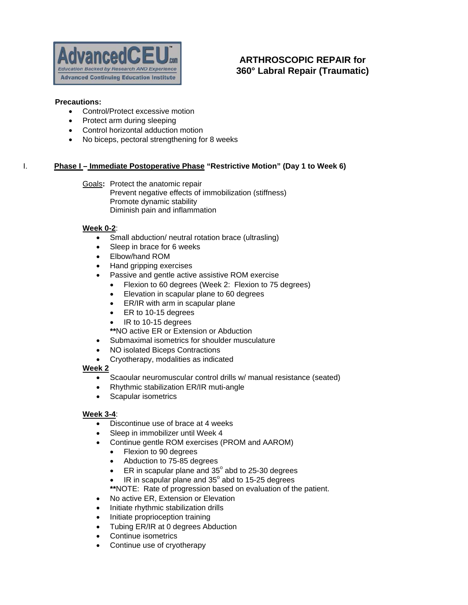

# **ARTHROSCOPIC REPAIR for 360° Labral Repair (Traumatic)**

#### **Precautions:**

- Control/Protect excessive motion
- Protect arm during sleeping
- Control horizontal adduction motion
- No biceps, pectoral strengthening for 8 weeks

# **I.** Phase I – Immediate Postoperative Phase "Restrictive Motion" (Day 1 to Week 6)

Goals**:** Protect the anatomic repair Prevent negative effects of immobilization (stiffness) Promote dynamic stability Diminish pain and inflammation

#### **Week 0-2**:

- Small abduction/ neutral rotation brace (ultrasling)
- Sleep in brace for 6 weeks
- Elbow/hand ROM
- Hand gripping exercises
- Passive and gentle active assistive ROM exercise
	- Flexion to 60 degrees (Week 2: Flexion to 75 degrees)
	- Elevation in scapular plane to 60 degrees
	- ER/IR with arm in scapular plane
	- ER to 10-15 degrees
	- IR to 10-15 degrees
	- **\*\***NO active ER or Extension or Abduction
- Submaximal isometrics for shoulder musculature
- NO isolated Biceps Contractions
- Cryotherapy, modalities as indicated
- **Week 2**
	- Scaoular neuromuscular control drills w/ manual resistance (seated)
	- Rhythmic stabilization ER/IR muti-angle
	- Scapular isometrics

### **Week 3-4**:

- Discontinue use of brace at 4 weeks
- Sleep in immobilizer until Week 4
- Continue gentle ROM exercises (PROM and AAROM)
	- Flexion to 90 degrees
	- Abduction to 75-85 degrees
	- ER in scapular plane and  $35^\circ$  abd to 25-30 degrees
	- $\bullet$  IR in scapular plane and 35 $^{\circ}$  abd to 15-25 degrees
	- **\*\***NOTE: Rate of progression based on evaluation of the patient.
- No active ER, Extension or Elevation
- Initiate rhythmic stabilization drills
- Initiate proprioception training
- Tubing ER/IR at 0 degrees Abduction
- Continue isometrics
- Continue use of cryotherapy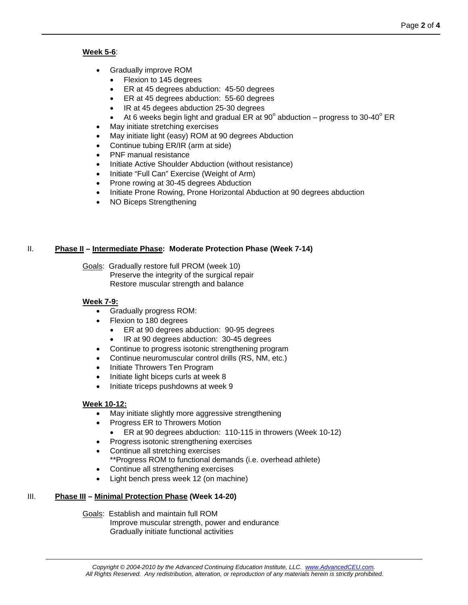### **Week 5-6**:

- Gradually improve ROM
	- Flexion to 145 degrees
	- ER at 45 degrees abduction: 45-50 degrees
	- ER at 45 degrees abduction: 55-60 degrees
	- IR at 45 degees abduction 25-30 degrees
	- At 6 weeks begin light and gradual ER at 90 $^{\circ}$  abduction progress to 30-40 $^{\circ}$  ER
- May initiate stretching exercises
- May initiate light (easy) ROM at 90 degrees Abduction
- Continue tubing ER/IR (arm at side)
- PNF manual resistance
- Initiate Active Shoulder Abduction (without resistance)
- Initiate "Full Can" Exercise (Weight of Arm)
- Prone rowing at 30-45 degrees Abduction
- Initiate Prone Rowing, Prone Horizontal Abduction at 90 degrees abduction
- NO Biceps Strengthening

# II. **Phase II – Intermediate Phase: Moderate Protection Phase (Week 7-14)**

Goals: Gradually restore full PROM (week 10) Preserve the integrity of the surgical repair Restore muscular strength and balance

### **Week 7-9:**

- Gradually progress ROM:
	- Flexion to 180 degrees
		- ER at 90 degrees abduction: 90-95 degrees
		- IR at 90 degrees abduction: 30-45 degrees
	- Continue to progress isotonic strengthening program
- Continue neuromuscular control drills (RS, NM, etc.)
- Initiate Throwers Ten Program
- Initiate light biceps curls at week 8
- Initiate triceps pushdowns at week 9

### **Week 10-12:**

- May initiate slightly more aggressive strengthening
- Progress ER to Throwers Motion
	- ER at 90 degrees abduction: 110-115 in throwers (Week 10-12)
- Progress isotonic strengthening exercises
- Continue all stretching exercises \*\*Progress ROM to functional demands (i.e. overhead athlete)
- Continue all strengthening exercises
- Light bench press week 12 (on machine)

### III. **Phase III – Minimal Protection Phase (Week 14-20)**

Goals: Establish and maintain full ROM Improve muscular strength, power and endurance Gradually initiate functional activities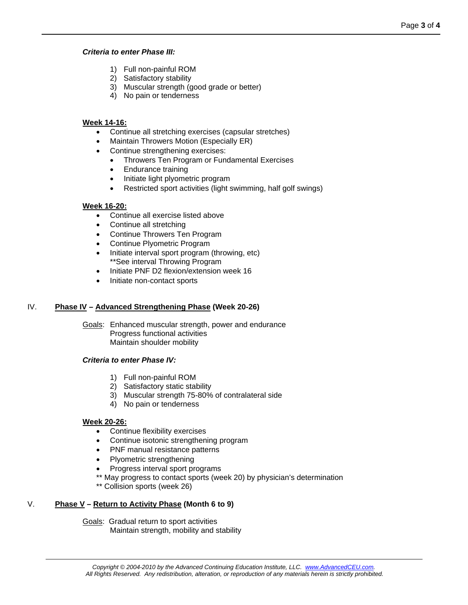#### *Criteria to enter Phase III:*

- 1) Full non-painful ROM
- 2) Satisfactory stability
- 3) Muscular strength (good grade or better)
- 4) No pain or tenderness

# **Week 14-16:**

- Continue all stretching exercises (capsular stretches)
- Maintain Throwers Motion (Especially ER)
- Continue strengthening exercises:
	- Throwers Ten Program or Fundamental Exercises
	- Endurance training
	- Initiate light plyometric program
	- Restricted sport activities (light swimming, half golf swings)

# **Week 16-20:**

- Continue all exercise listed above
- Continue all stretching
- Continue Throwers Ten Program
- Continue Plyometric Program
- Initiate interval sport program (throwing, etc) \*\*See interval Throwing Program
- Initiate PNF D2 flexion/extension week 16
- Initiate non-contact sports

## IV. **Phase IV – Advanced Strengthening Phase (Week 20-26)**

Goals: Enhanced muscular strength, power and endurance Progress functional activities Maintain shoulder mobility

### *Criteria to enter Phase IV:*

- 1) Full non-painful ROM
- 2) Satisfactory static stability
- 3) Muscular strength 75-80% of contralateral side
- 4) No pain or tenderness

### **Week 20-26:**

- Continue flexibility exercises
- Continue isotonic strengthening program
- PNF manual resistance patterns
- Plyometric strengthening
- Progress interval sport programs
- \*\* May progress to contact sports (week 20) by physician's determination
- \*\* Collision sports (week 26)

# V. **Phase V – Return to Activity Phase (Month 6 to 9)**

Goals: Gradual return to sport activities Maintain strength, mobility and stability